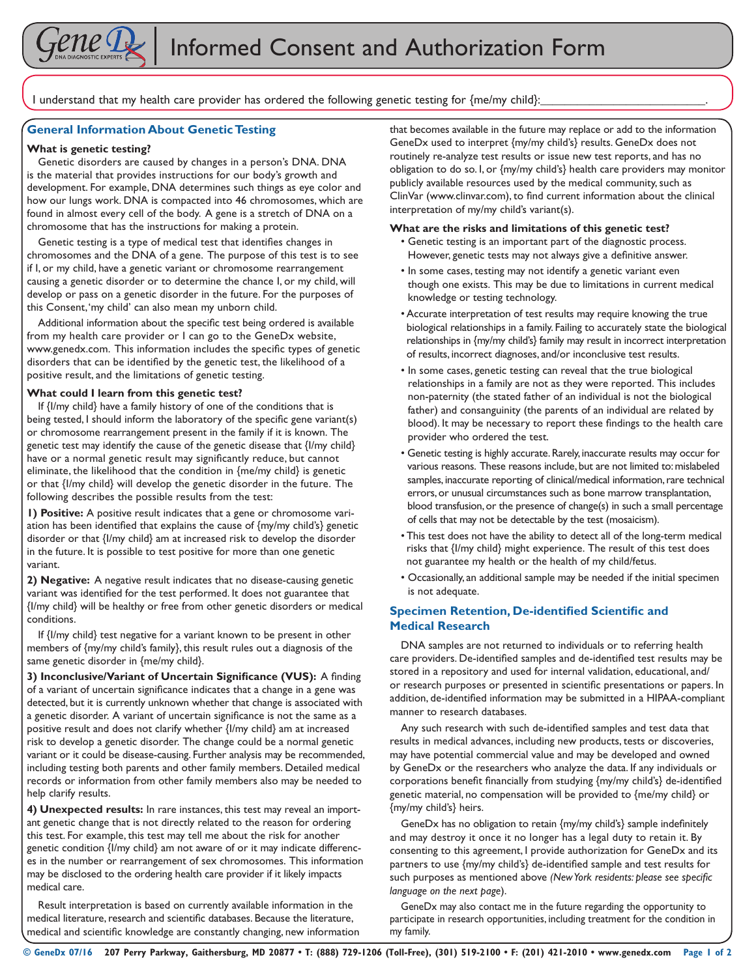

I understand that my health care provider has ordered the following genetic testing for  ${me/my}$  child}:

## **General Information About Genetic Testing**

#### **What is genetic testing?**

Genetic disorders are caused by changes in a person's DNA. DNA is the material that provides instructions for our body's growth and development. For example, DNA determines such things as eye color and how our lungs work. DNA is compacted into 46 chromosomes, which are found in almost every cell of the body. A gene is a stretch of DNA on a chromosome that has the instructions for making a protein.

Genetic testing is a type of medical test that identifies changes in chromosomes and the DNA of a gene. The purpose of this test is to see if I, or my child, have a genetic variant or chromosome rearrangement causing a genetic disorder or to determine the chance I, or my child, will develop or pass on a genetic disorder in the future. For the purposes of this Consent, 'my child' can also mean my unborn child.

Additional information about the specific test being ordered is available from my health care provider or I can go to the GeneDx website, www.genedx.com. This information includes the specific types of genetic disorders that can be identified by the genetic test, the likelihood of a positive result, and the limitations of genetic testing.

## **What could I learn from this genetic test?**

If {I/my child} have a family history of one of the conditions that is being tested, I should inform the laboratory of the specific gene variant(s) or chromosome rearrangement present in the family if it is known. The genetic test may identify the cause of the genetic disease that {I/my child} have or a normal genetic result may significantly reduce, but cannot eliminate, the likelihood that the condition in {me/my child} is genetic or that {I/my child} will develop the genetic disorder in the future. The following describes the possible results from the test:

**1) Positive:** A positive result indicates that a gene or chromosome variation has been identified that explains the cause of {my/my child's} genetic disorder or that {I/my child} am at increased risk to develop the disorder in the future. It is possible to test positive for more than one genetic variant.

**2) Negative:** A negative result indicates that no disease-causing genetic variant was identified for the test performed. It does not guarantee that {I/my child} will be healthy or free from other genetic disorders or medical conditions.

If {I/my child} test negative for a variant known to be present in other members of {my/my child's family}, this result rules out a diagnosis of the same genetic disorder in {me/my child}.

**3) Inconclusive/Variant of Uncertain Significance (VUS):** A finding of a variant of uncertain significance indicates that a change in a gene was detected, but it is currently unknown whether that change is associated with a genetic disorder. A variant of uncertain significance is not the same as a positive result and does not clarify whether {I/my child} am at increased risk to develop a genetic disorder. The change could be a normal genetic variant or it could be disease-causing. Further analysis may be recommended, including testing both parents and other family members. Detailed medical records or information from other family members also may be needed to help clarify results.

**4) Unexpected results:** In rare instances, this test may reveal an important genetic change that is not directly related to the reason for ordering this test. For example, this test may tell me about the risk for another genetic condition {I/my child} am not aware of or it may indicate differences in the number or rearrangement of sex chromosomes. This information may be disclosed to the ordering health care provider if it likely impacts medical care.

Result interpretation is based on currently available information in the medical literature, research and scientific databases. Because the literature, medical and scientific knowledge are constantly changing, new information that becomes available in the future may replace or add to the information GeneDx used to interpret {my/my child's} results. GeneDx does not routinely re-analyze test results or issue new test reports, and has no obligation to do so. I, or {my/my child's} health care providers may monitor publicly available resources used by the medical community, such as ClinVar (www.clinvar.com), to find current information about the clinical interpretation of my/my child's variant(s).

## **What are the risks and limitations of this genetic test?**

- Genetic testing is an important part of the diagnostic process. However, genetic tests may not always give a definitive answer.
- In some cases, testing may not identify a genetic variant even though one exists. This may be due to limitations in current medical knowledge or testing technology.
- Accurate interpretation of test results may require knowing the true biological relationships in a family. Failing to accurately state the biological relationships in {my/my child's} family may result in incorrect interpretation of results, incorrect diagnoses, and/or inconclusive test results.
- In some cases, genetic testing can reveal that the true biological relationships in a family are not as they were reported. This includes non-paternity (the stated father of an individual is not the biological father) and consanguinity (the parents of an individual are related by blood). It may be necessary to report these findings to the health care provider who ordered the test.
- Genetic testing is highly accurate. Rarely, inaccurate results may occur for various reasons. These reasons include, but are not limited to: mislabeled samples, inaccurate reporting of clinical/medical information, rare technical errors, or unusual circumstances such as bone marrow transplantation, blood transfusion, or the presence of change(s) in such a small percentage of cells that may not be detectable by the test (mosaicism).
- This test does not have the ability to detect all of the long-term medical risks that {I/my child} might experience. The result of this test does not guarantee my health or the health of my child/fetus.
- Occasionally, an additional sample may be needed if the initial specimen is not adequate.

## **Specimen Retention, De-identified Scientific and Medical Research**

DNA samples are not returned to individuals or to referring health care providers. De-identified samples and de-identified test results may be stored in a repository and used for internal validation, educational, and/ or research purposes or presented in scientific presentations or papers. In addition, de-identified information may be submitted in a HIPAA-compliant manner to research databases.

Any such research with such de-identified samples and test data that results in medical advances, including new products, tests or discoveries, may have potential commercial value and may be developed and owned by GeneDx or the researchers who analyze the data. If any individuals or corporations benefit financially from studying {my/my child's} de-identified genetic material, no compensation will be provided to {me/my child} or {my/my child's} heirs.

GeneDx has no obligation to retain {my/my child's} sample indefinitely and may destroy it once it no longer has a legal duty to retain it. By consenting to this agreement, I provide authorization for GeneDx and its partners to use {my/my child's} de-identified sample and test results for such purposes as mentioned above *(New York residents: please see specific language on the next page*).

GeneDx may also contact me in the future regarding the opportunity to participate in research opportunities, including treatment for the condition in my family.